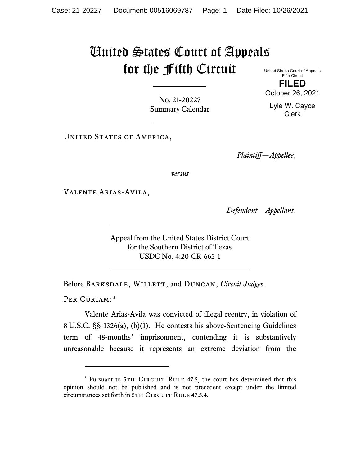## United States Court of Appeals for the Fifth Circuit United States Court of Appeals

Fifth Circuit **FILED** October 26, 2021

Lyle W. Cayce Clerk

No. 21-20227 Summary Calendar

UNITED STATES OF AMERICA,

*Plaintiff—Appellee*,

*versus*

Valente Arias-Avila,

*Defendant—Appellant*.

Appeal from the United States District Court for the Southern District of Texas USDC No. 4:20-CR-662-1

Before Barksdale, Willett, and Duncan, *Circuit Judges*.

PER CURIAM:[\\*](#page-0-0)

Valente Arias-Avila was convicted of illegal reentry, in violation of 8 U.S.C. §§ 1326(a), (b)(1). He contests his above-Sentencing Guidelines term of 48-months' imprisonment, contending it is substantively unreasonable because it represents an extreme deviation from the

<span id="page-0-0"></span><sup>\*</sup> Pursuant to 5TH CIRCUIT RULE 47.5, the court has determined that this opinion should not be published and is not precedent except under the limited circumstances set forth in 5TH CIRCUIT RULE 47.5.4.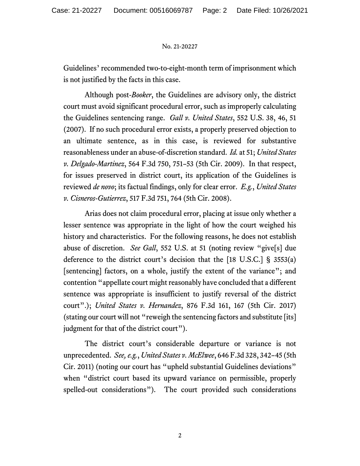## No. 21-20227

Guidelines' recommended two-to-eight-month term of imprisonment which is not justified by the facts in this case.

Although post-*Booker*, the Guidelines are advisory only, the district court must avoid significant procedural error, such as improperly calculating the Guidelines sentencing range. *Gall v. United States*, 552 U.S. 38, 46, 51 (2007). If no such procedural error exists, a properly preserved objection to an ultimate sentence, as in this case, is reviewed for substantive reasonableness under an abuse-of-discretion standard. *Id.* at 51; *United States v. Delgado-Martinez*, 564 F.3d 750, 751–53 (5th Cir. 2009). In that respect, for issues preserved in district court, its application of the Guidelines is reviewed *de novo*; its factual findings, only for clear error. *E.g.*, *United States v. Cisneros-Gutierrez*, 517 F.3d 751, 764 (5th Cir. 2008).

Arias does not claim procedural error, placing at issue only whether a lesser sentence was appropriate in the light of how the court weighed his history and characteristics. For the following reasons, he does not establish abuse of discretion. *See Gall*, 552 U.S. at 51 (noting review "give[s] due deference to the district court's decision that the [18 U.S.C.] § 3553(a) [sentencing] factors, on a whole, justify the extent of the variance"; and contention "appellate court might reasonably have concluded that a different sentence was appropriate is insufficient to justify reversal of the district court".); *United States v. Hernandez*, 876 F.3d 161, 167 (5th Cir. 2017) (stating our court will not "reweigh the sentencing factors and substitute [its] judgment for that of the district court").

The district court's considerable departure or variance is not unprecedented. *See, e.g.*, *United States v. McElwee*, 646 F.3d 328, 342–45 (5th Cir. 2011) (noting our court has "upheld substantial Guidelines deviations" when "district court based its upward variance on permissible, properly spelled-out considerations"). The court provided such considerations